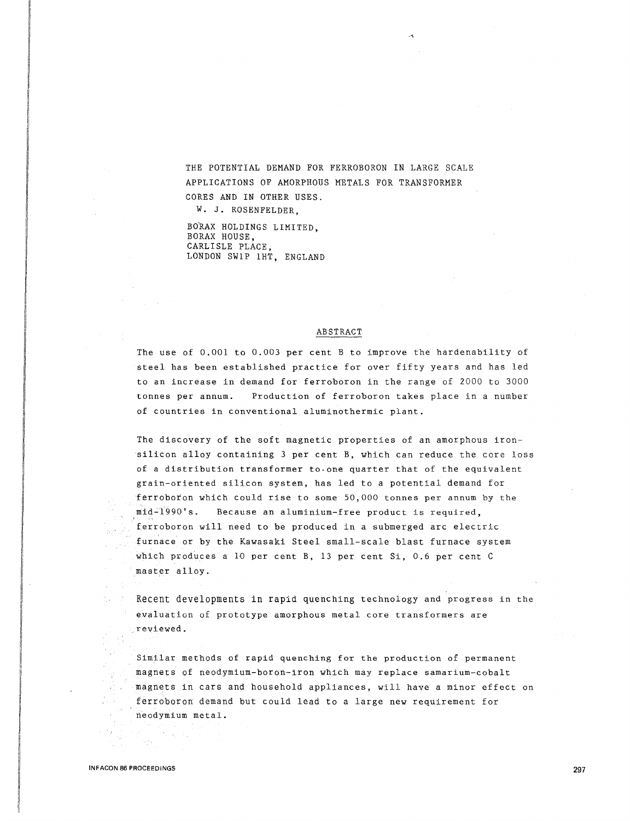THE POTENTIAL DEMAND FOR FERROBORON IN LARGE SCALE APPLICATIONS OF AMORPHOUS METALS FOR TRANSFORMER CORES AND IN OTHER USES.

W. J. ROSENFELDER,

BORAX HOLDINGS LIMITED. BORAX HOUSE, CARLISLE PLACE, LONDON SWlP lHT, ENGLAND

#### ABSTRACT

The use of 0.001 to 0.003 per cent B to improve the hardenability of steel has been established practice for over fifty years and has led to an increase in demand for ferroboron in the range of 2000 to 3000 tonnes per annum. Production of ferroboron takes place in a number of countries in conventional aluminothermic plant.

The discovery of the soft magnetic properties of an amorphous ironsilicon alloy containing 3 per cent B, which can reduce the core loss of a distribution transformer to-one quarter that of the equivalent grain-oriented silicon system, has led to a potential demand for ferroboron which could rise to some 50,000 tonnes per annum by the mid-1990's. Because an aluminium-free product is required, ferroboron will need to be produced in a submerged arc electric furnace or by the Kawasaki Steel small-scale blast furnace system which produces a 10 per cent B, 13 per cent Si, 0.6 per cent C master alloy.

Recent developments in rapid quenching technology and progress in the evaluation of prototype amorphous metal core transformers are reviewed.

Similar methods of rapid quenching for the production of permanent magnets of neodymium-boron-iron which may replace samarium-cobalt magnets in cars and household appliances, will have a minor effect on ferroboron demand but could lead to a large new requirement for neodymium metal.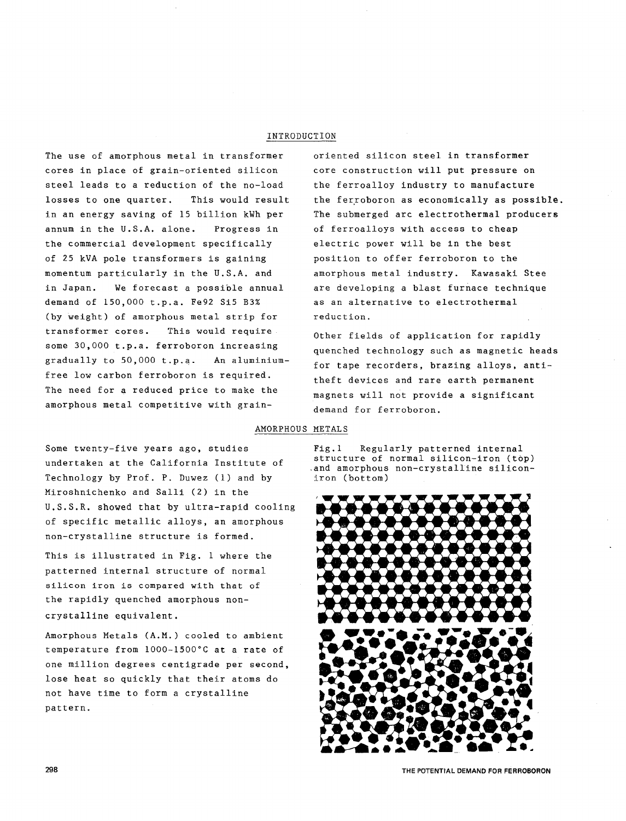## INTRODUCTION

The use of amorphous metal in transformer cores in place of grain-oriented silicon steel leads to a reduction of the no-load losses to one quarter. This would result in an energy saving of 15 billion kWh per annum in the U.S.A. alone. Progress in the commercial development specifically of 25 kVA pole transformers is gaining momentum particularly in the U.S.A. and in Japan. We forecast a possible annual demand of 150,000 t.p.a. Fe92 Si5 B3% (by weight) of amorphous metal strip for transformer cores. This would require some 30,000 t.p.a. ferroboron increasing gradually to 50,000 t.p.a. An aluminiumfree low carbon ferroboron is required. The need for a reduced price to make the amorphous metal competitive with grainoriented silicon steel in transformer core construction will put pressure on the ferroalloy industry to manufacture the ferroboron as economically as possible. The submerged arc electrothermal producers of ferroalloys with access to cheap electric power will be in the best position to offer ferroboron to the amorphous metal industry. Kawasaki Stee are developing a blast furnace technique as an alternative to electrothermal reduction.

Other fields of application for rapidly quenched technology such as magnetic heads for tape recorders, brazing alloys, antitheft devices and rare earth permanent magnets will not provide a significant demand for ferroboron.

#### AMORPHOUS METALS

Some twenty-five years ago, studies undertaken at the California Institute of Technology by Prof. P. Duwez (1) and by Miroshnichenko and Salli (2) in the U.S.S.R. showed that by ultra-rapid cooling of specific metallic alloys, an amorphous non-crystalline structure is formed.

This is illustrated in Fig. 1 where the patterned internal structure of normal silicon iron is compared with that of the rapidly quenched amorphous noncrystalline equivalent.

Amorphous Metals (A.M.) cooled to ambient temperature from 1000-1500°C at a rate of one million degrees centigrade per second, lose heat so quickly that their atoms do not have time to form a crystalline pattern.

Fig.l Regularly patterned internal structure of normal silicon-iron (top) .and amorphous non-crystalline siliconiron (bottom)

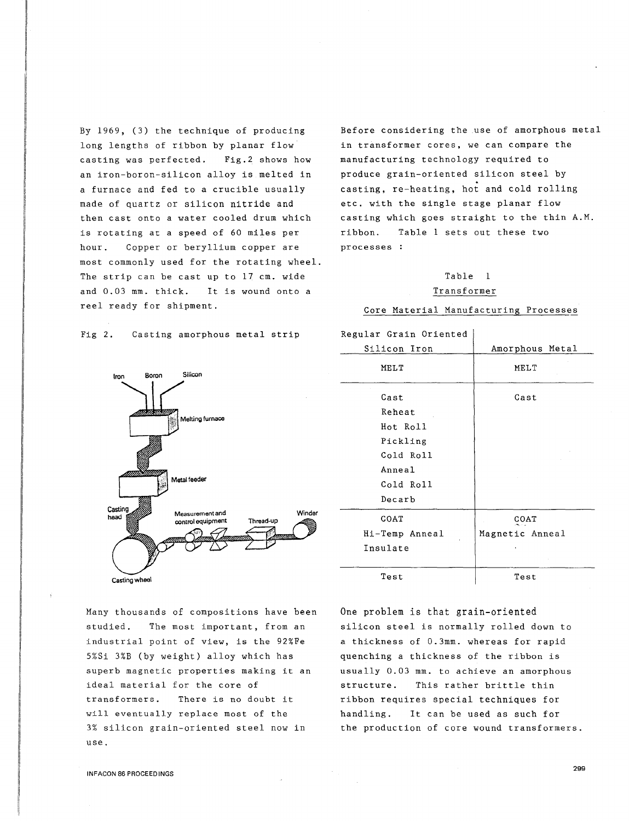By 1969, (3) the technique of producing long lengths of ribbon by planar flow casting was perfected. Fig.2 shows how an iron-boron-silicon alloy is melted in a furnace and fed to a crucible usually made of quartz or silicon nitride and then cast onto a water cooled drum which is rotating at a speed of 60 miles per hour. Copper or beryllium copper are most commonly used for the rotating wheel. The strip can be cast up to 17 cm. wide and 0.03 mm. thick. It is wound onto a reel ready for shipment.

Before considering the .use of amorphous metal in transformer cores, we can compare the manufacturing technology required to produce grain-oriented silicon steel by casting, re-heating, hot and cold rolling etc. with the single stage planar flow casting which goes straight to the thin A.M. ribbon. Table 1 sets out these two processes

# Table 1

#### Transformer

#### Core Material Manufacturing Processes

| Regular Grain Oriented |                 |
|------------------------|-----------------|
| Silicon Iron           | Amorphous Metal |
| MELT                   | MELT            |
| Cast                   | Cast            |
| Reheat                 |                 |
| Hot Roll               |                 |
| Pickling               |                 |
| Cold Roll              |                 |
| Anneal                 |                 |
| Cold Roll              |                 |
| Decarb                 |                 |
| COAT                   | COAT            |
| Hi-Temp Anneal         | Magnetic Anneal |
| Insulate               |                 |
| Test                   | Test            |

One problem is that grain-oriented silicon steel is normally rolled down to a thickness of 0.3mm. whereas for rapid quenching a thickness of the ribbon is usually 0.03 mm. to achieve an amorphous structure. This rather brittle thin ribbon requires special techniques for handling. It can be used as such for the production of core wound transformers.

Fig 2. Casting amorphous metal strip



Many thousands of compositions have been studied. The most important, from an industrial point of view, is the 92%Fe 5%Si 3%B (by weight) alloy which has superb magnetic properties making it an ideal material for the core of transformers. There is no doubt it will eventually replace most of the 3% silicon grain-oriented steel now in use.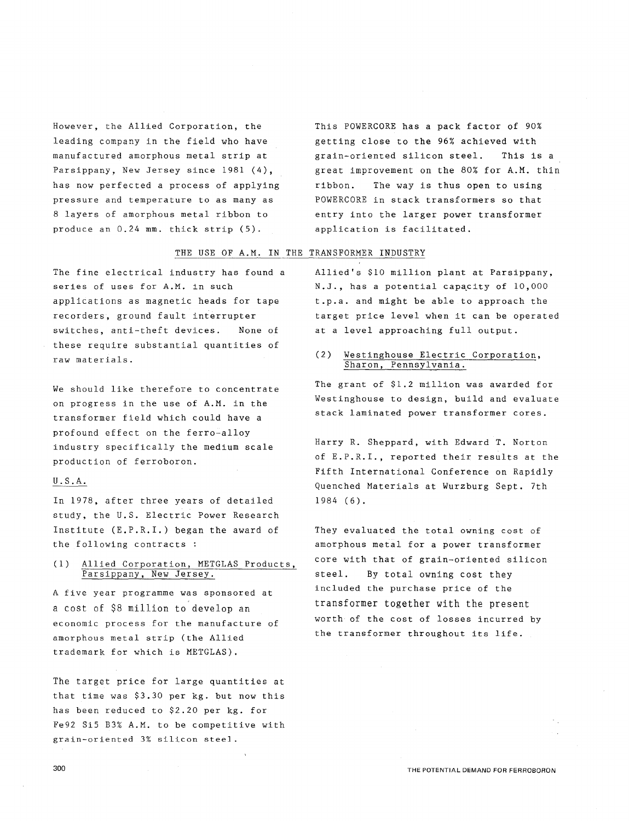However, the Allied Corporation, the leading company in the field who have manufactured amorphous metal strip at Parsippany, New Jersey since 1981 (4), has now perfected a process of applying pressure and temperature to as many as 8 layers of amorphous metal ribbon to produce an 0.24 mm. thick strip (5).

This POWERCORE has a pack factor of 90% getting close to the 96% achieved with grain-oriented silicon steel. This is a great improvement on the 80% for A.M. thin ribbon. The way is thus open to using POWERCORE in stack transformers so that entry into the larger power transformer application is facilitated.

### THE USE OF A.M. IN THE TRANSFORMER INDUSTRY

The fine electrical industry has found a series of uses for A.M. in such applications as magnetic heads for tape recorders, ground fault interrupter switches, anti-theft devices. None of these require substantial quantities of raw materials.

We should like therefore to concentrate on progress in the use of A.M. in the transformer field which could have a profound effect on the ferro-alloy industry specifically the medium scale production of ferroboron.

## U.S.A.

In 1978, after three years of detailed study, the U.S. Electric Power Research Institute (E.P.R.I.) began the award of the following contracts :

## (1) Allied Corporation, METGLAS Products, Parsippany, New Jersey.

A five year programme was sponsored at a cost of \$8 million to develop an economic process for the manufacture of amorphous metal strip (the Allied trademark for which is METGLAS).

The target price for large quantities at that time was \$3.30 per kg. but now this has been reduced to \$2.20 per kg. for Fe92 SiS B3% A.M. to be competitive with grain-oriented 3% silicon steel.

Allied's \$10 million plant at Parsippany, N.J., has a potential capacity of 10,000 t.p.a. and might be able to approach the target price level when it can be operated at a level approaching full output.

### (2) Westinghouse Electric Corporation, Sharon, Pennsylvania.

The grant of \$1.2 million was awarded for Westinghouse to design, build and evaluate stack laminated power transformer cores.

Harry R. Sheppard, with Edward T. Norton of E.P.R.I., reported their results at the Fifth International Conference on Rapidly Quenched Materials at Wurzburg Sept. 7th 1984 (6).

They evaluated the total owning cost of amorphous metal for a power transformer core with that of grain-oriented silicon steel. By total owning cost they included the purchase price of the transformer together with the present worth of the cost of losses incurred by the transformer throughout its life.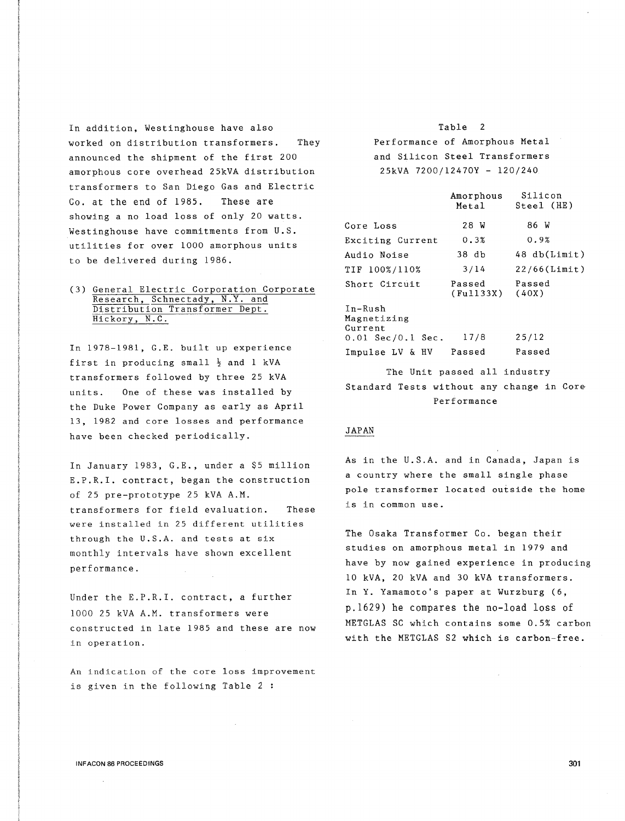In addition, Westinghouse have also worked on distribution transformers. They announced the shipment of the first 200 amorphous core overhead 25kVA distribution transformers to San Diego Gas and Electric Co. at the end of 1985. These are showing a no load loss of only 20 watts. Westinghouse have commitments from U.S. utilities for over 1000 amorphous units to be delivered during 1986.

#### (3) General Electric Corporation Corporate Research, Schnectady, N.Y. and Distribution Transformer Dept. Hickory, N.C.

In 1978-1981, G.E. built up experience first in producing small  $\frac{1}{2}$  and 1 kVA transformers followed by three 25 kVA units. One of these was installed by the Duke Power Company as early as April 13, 1982 and core losses and performance have been checked periodically.

In January 1983, G.E., under a \$5 million E.P.R.I. contract, began the construction of 25 pre-prototype 25 kVA A.M. transformers for field evaluation. These were installed in 25 different utilities through the U.S.A. and tests at six monthly intervals have shown excellent performance.

Under the E.P.R.I. contract, a further 1000 25 kVA A.M. transformers were constructed in late 1985 and these are now in operation.

An indication of the core loss improvement is given in the following Table 2 :

# Table 2 Performance of Amorphous Metal and Silicon Steel Transformers 25kVA 7200/12470Y - 120/240

|                                     | Amorphous<br>Metal  | Silicon<br>Steel (HE) |
|-------------------------------------|---------------------|-----------------------|
| Core Loss                           | 28 W                | 86 W                  |
| Exciting Current                    | 0.3%                | 0.9%                  |
| Audio Noise                         | 38 db               | 48 db(Limit)          |
| TIF 100%/110%                       | 3/14                | $22/66$ (Limit)       |
| Short Circuit                       | Passed<br>(Fu1133X) | Passed<br>(40X)       |
| $In-Rush$<br>Magnetizing<br>Current |                     |                       |
| $0.01 \text{ Sec}/0.1 \text{ Sec.}$ | 17/8                | 25/12                 |
| Impulse LV & HV Passed              |                     | Passed                |

The Unit passed all industry Standard Tests without any change in Core Performance

#### JAPAN

As in the U.S.A. and in Canada, Japan is a country where the small single phase pole transformer located outside the home is in common use.

The Osaka Transformer Co. began their studies on amorphous metal in 1979 and have by now gained experience in producing 10 kVA, 20 kVA and 30 kVA transformers. In Y. Yamamoto's paper at Wurzburg (6, p.1629) he compares the no-load loss of METGLAS SC which contains some 0.5% carbon with the METGLAS S2 which is carbon-free.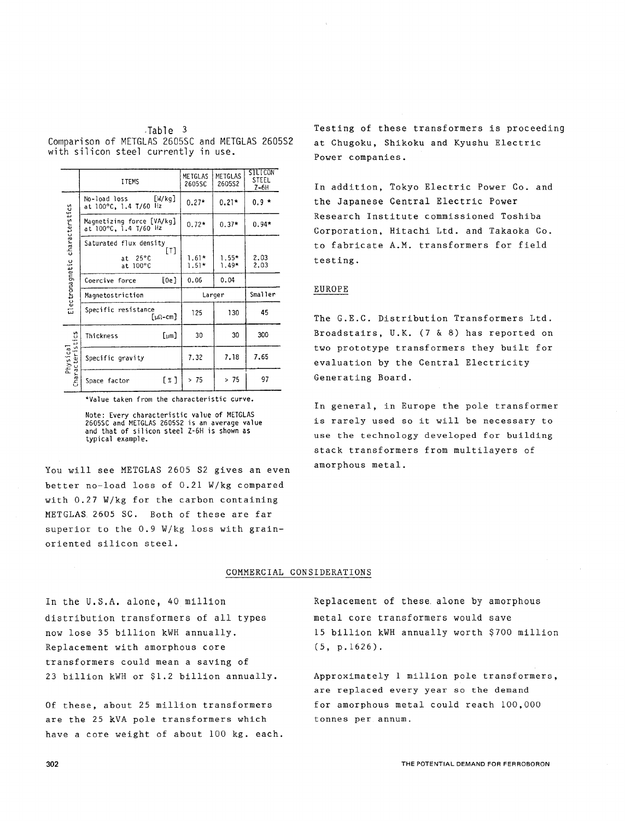|                                                 |  | Table 3 |  |  |
|-------------------------------------------------|--|---------|--|--|
| Comparison of METGLAS 2605SC and METGLAS 2605S2 |  |         |  |  |
| with silicon steel currently in use.            |  |         |  |  |

|                                | <b>ITEMS</b>                                                      | METGLAS<br>2605SC  | METGLAS<br>260552 | SILICON<br><b>STEEL</b><br>$Z-6H$ |
|--------------------------------|-------------------------------------------------------------------|--------------------|-------------------|-----------------------------------|
|                                | [W/kg]<br>No-load loss<br>at 100°C, 1.4 T/60 Hz                   | $0.27*$            | $0.21*$           | $0.9*$                            |
|                                | Magnetizing force [VA/kg]<br>at 100°C, 1.4 T/60 Hz                | $0.72*$            | $0.37*$           | $0.94*$                           |
| Electromagnetic characterstics | Saturated flux density<br>[T]<br>$25^{\circ}$ C<br>at<br>at 100°C | $1.61*$<br>$1.51*$ | $1.55*$<br>1.49*  | 2.03<br>2.03                      |
|                                | [0e]<br>Coercive force                                            | 0.06               | 0.04              |                                   |
|                                | Magnetostriction                                                  |                    | Larger            | Smaller                           |
|                                | Specific resistance<br>[μΩ-cm]                                    | 125                | 130               | 45                                |
|                                | $[{\scriptstyle \text{um}}]$<br>Thickness                         | 30                 | 30                | 300                               |
| Physical<br>racteristics       | Specific gravity                                                  | 7.32               | 7.18              | 7.65                              |
| Charac                         | $\lceil x \rceil$<br>Space factor                                 | >75                | >75               | 97                                |

\*Value taken from the characteristic curve.

Note: Every characteristic value of METGLAS 2605SC and METGLAS 260552 is an average value and that of silicon steel Z-6H is shown as typical example.

You will see METGLAS 2605 S2 gives an even better no-load loss of 0.21 W/kg compared with 0.27 W/kg for the carbon containing METGLAS. 2605 SC. Both of these are far superior to the 0.9 W/kg loss with grainoriented silicon steel.

Testing of these transformers is proceeding at Chugoku, Shikoku and Kyushu Electric Power companies.

In addition, Tokyo Electric Power Co. and the Japanese Central Electric Power Research Institute commissioned Toshiba Corporation, Hitachi Ltd. and Takaoka Co. to fabricate A.M. transformers for field testing.

#### EUROPE

The G.E.C. Distribution Transformers Ltd. Broadstairs, U.K. (7 & 8) has reported on two prototype transformers they built for evaluation by the Central Electricity Generating Board.

In general, in Europe the pole transformer is rarely used so it will be necessary to use the technology developed for building stack transformers from multilayers of amorphous metal.

#### COMMERCIAL CONSIDERATIONS

In the U.S.A. alone, 40 million distribution transformers of all types now lose 35 billion kWH annually. Replacement with amorphous core transformers could mean a saving of 23 billion kWH or \$1.2 billion annually.

Of these, about 25 million transformers are the 25 kVA pole transformers which have a core weight of about 100 kg. each.

Replacement of these. alone by amorphous metal core transformers would save 15 billion kWH annually worth \$700 million (5, p.1626).

Approximately 1 million pole transformers, are replaced every year so the demand for amorphous metal could reach 100,000 tonnes per annum.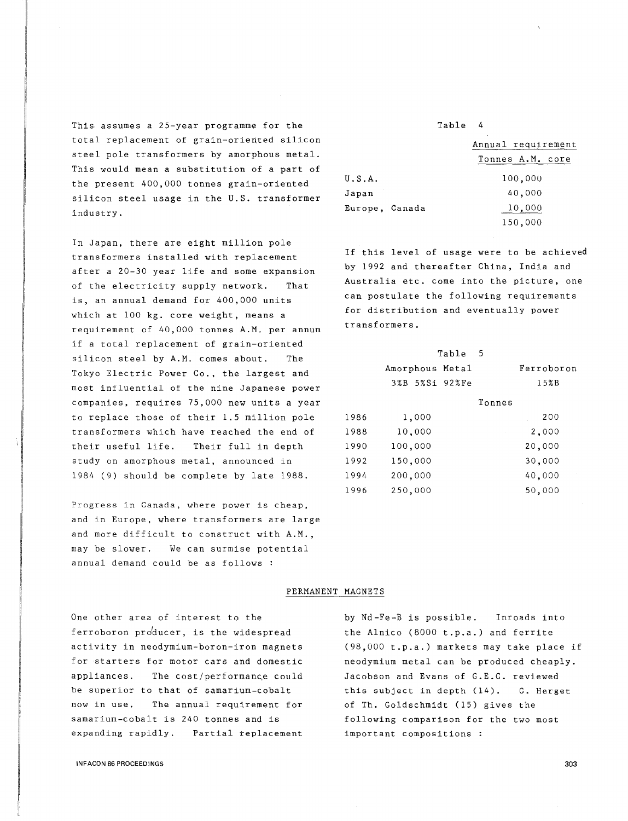This assumes a 25-year programme for the total replacement of grain-oriented silicon steel pole transformers by amorphous metal. This would mean a substitution of a part of the present 400,000 tonnes grain-oriented silicon steel usage in the U.S. transformer industry.

In Japan, there are eight million pole transformers installed with replacement after a 20-30 year life and some expansion of the electricity supply network. That is, an annual demand for 400,000 units which at 100 kg. core weight, means a requirement of 40,000 tonnes A.M. per annum if a total replacement of grain-oriented silicon steel by A.M. comes about. The Tokyo Electric Power Co., the largest and most influential of the nine Japanese power companies, requires 75,000 new units a year to replace those of their 1.5 million pole transformers which have reached the end of their useful life. Their full in depth study on amorphous metal, announced in 1984 (9) should be complete by late 1988.

Progress in Canada, where power is cheap, and in Europe, where transformers are large and more difficult to construct with A.M., may be slower. We can surmise potential annual demand could be as follows :

Table 4

|                | Annual requirement |
|----------------|--------------------|
|                | Tonnes A.M. core   |
| U.S.A.         | 100,000            |
| Japan          | 40,000             |
| Europe, Canada | 10,000             |
|                | 150,000            |

If this level of usage were to be achieved by 1992 and thereafter China, India and Australia etc. come into the picture, one can postulate the following requirements for distribution and eventually power transformers.

|         |                                            | Ferroboron |
|---------|--------------------------------------------|------------|
|         |                                            | 15%B       |
|         | Tonnes                                     |            |
| 1,000   |                                            | 200        |
| 10,000  |                                            | 2,000      |
| 100,000 |                                            | 20,000     |
| 150,000 |                                            | 30,000     |
| 200,000 |                                            | 40,000     |
| 250,000 |                                            | 50,000     |
|         | Table<br>Amorphous Metal<br>3%B 5%Si 92%Fe | - 5        |

#### PERMANENT MAGNETS

One other area of interest to the ferroboron producer, is the widespread activity in neodymium-boron-iron magnets for starters for motor cars and domestic appliances. The cost/performance could be superior to that of samarium-cobalt now in use. The annual requirement for samarium-cobalt is 240 tonnes and is expanding rapidly. Partial replacement

by Nd-Fe-B is possible. Inroads into the Alnico (8000 t.p.a.) and ferrite (98,000 t.p.a.) markets may take place if neodymium metal can be produced cheaply. Jacobson and Evans of G.E.C. reviewed this subject in depth (14). C. Herget of Th. Goldschmidt (15) gives the following comparison for the two most important compositions :

INFACON 86 PROCEEDINGS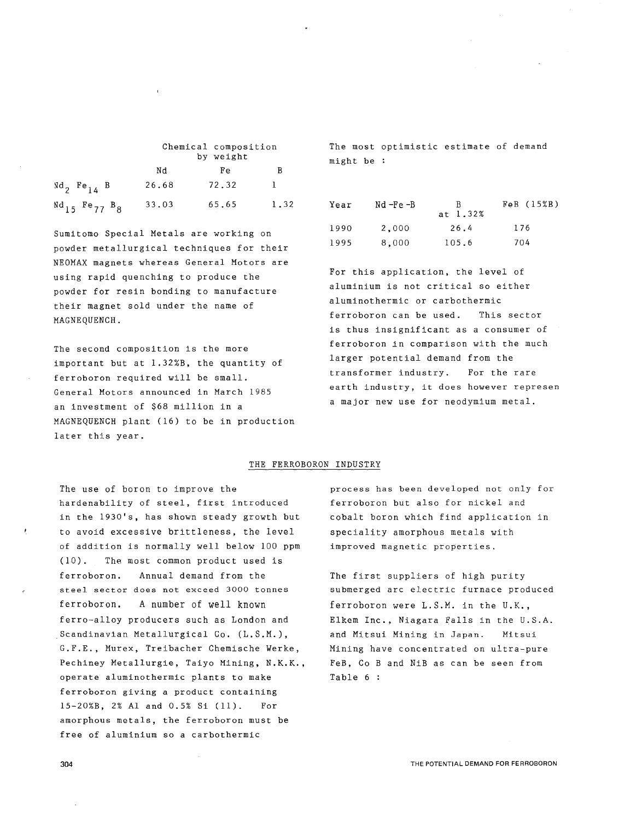|                                |       | Chemical composition<br>by weight |      |
|--------------------------------|-------|-----------------------------------|------|
|                                | Nd    | Fe                                | В    |
| $Nd_2$ Fe <sub>14</sub> B      | 26.68 | 72.32                             |      |
| $^{Nd}$ 15 $^{Fe}$ 77 $^{B}$ 8 | 33.03 | 65.65                             | 1.32 |

Sumitomo Special Metals are working on powder metallurgical techniques for their NEOMAX magnets whereas General Motors are using rapid quenching to produce the powder for resin bonding to manufacture their magnet sold under the name of MAGNEQUENCH.

The second composition is the more important but at l.32%B, the quantity of ferroboron required will be small. General Motors announced in March 1985 an investment of \$68 million in a MAGNEQUENCH plant (16) to be in production later this year.

The most optimistic estimate of demand might be

| Year | Nd -Fe -B | R.<br>at 1.32% | FeB (15%B) |
|------|-----------|----------------|------------|
| 1990 | 2,000     | 26.4           | 176        |
| 1995 | 8,000     | 105.6          | 704        |

For this application, the level of aluminium is not critical so either aluminothermic or carbothermic ferroboron can be used. This sector is thus insignificant as a consumer of ferroboron in comparison with the much larger potential demand from the transformer industry. For the rare earth industry, it does however represen a major new use for neodymium metal.

#### THE FERROBORON INDUSTRY

The use of boron to improve the hardenability of steel, first introduced in the 1930's, has shown steady growth but to avoid excessive brittleness, the level of addition is normally well below 100 ppm (10). The most common product used is ferroboron. Annual demand from the steel sector does not exceed 3000 tonnes ferroboron. A number of well known ferro-alloy producers such as London and Scandinavian Metallurgical Co. (L.S.M.), G.F.E., Murex, Treibacher Chemische Werke, Pechiney Metallurgie, Taiyo Mining, N.K.K., operate aluminothermic plants to make ferroboron giving a product containing 15-20%B, 2% Al and 0.5% Si (11). For amorphous metals, the ferroboron must be free of aluminium so a carbothermic

process has been developed not only for ferroboron but also for nickel and cobalt boron which find application in speciality amorphous metals with improved magnetic properties.

The first suppliers of high purity submerged arc electric furnace produced ferroboron were L.S.M. in the U.K., Elkem Inc., Niagara Falls in the U.S.A. and Mitsui Mining in Japan. Mitsui Mining have concentrated on ultra-pure FeB, Co B and NiB as can be seen from Table 6 :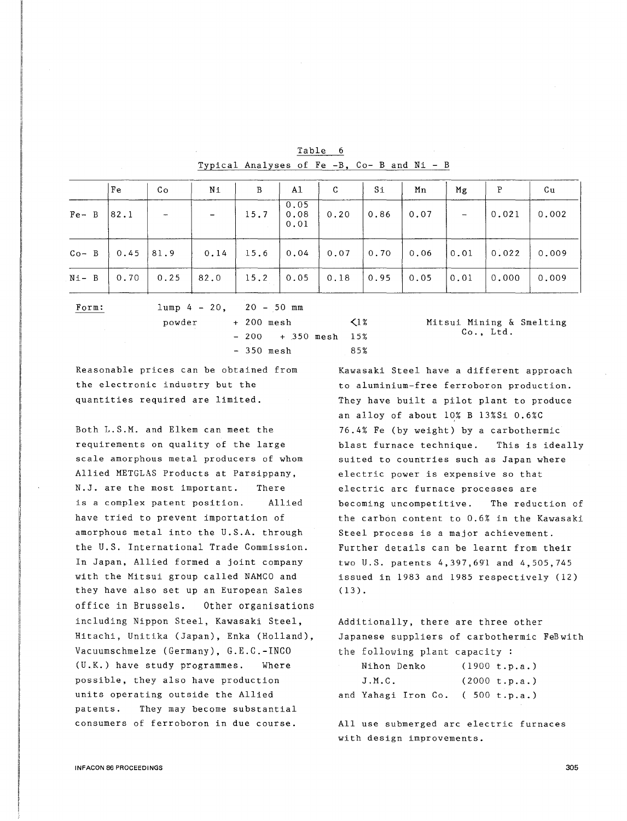|           | Fe          | Co                       | Ni          | B                  | A1                   | C    | $S_{1}$            | Mn   | Mg             | P                                                            | Cu    |
|-----------|-------------|--------------------------|-------------|--------------------|----------------------|------|--------------------|------|----------------|--------------------------------------------------------------|-------|
| $Fe B$    | 82.1        | $\overline{\phantom{m}}$ |             | 15.7               | 0.05<br>0.08<br>0.01 | 0.20 | 0.86               | 0.07 | $\sim$ $-$     | $\sqrt{0.021}$                                               | 0.002 |
| $Co-$ B   | $0.45$ 81.9 |                          | $0.14$ 15.6 |                    | $0.04$ 0.07          |      |                    |      |                | $0.70$ $\vert$ 0.06 $\vert$ 0.01 $\vert$ 0.022 $\vert$ 0.009 |       |
| $N_1 - B$ | 0.70        | 0.25                     | 82.0        | 15.2   0.05   0.18 |                      |      | $\vert 0.95 \vert$ |      | $ 0.01\rangle$ | $\vert$ 0.000                                                | 0.009 |

 $\leq$  1%

85%

|                                             | Table 6 |  |  |  |  |
|---------------------------------------------|---------|--|--|--|--|
| Typical Analyses of Fe -B, Co- B and Ni - B |         |  |  |  |  |

Form:

 $lump 4 - 20$ , 20 - 50 mm + 200 mesh  $-200 + 350$  mesh  $15%$ 

- 350 mesh

Mitsui Mining & Smelting Co., Ltd.

Reasonable prices can be obtained from the electronic industry but the quantities required are limited.

powder

Both L.S.M. and Elkem can meet the requirements on quality of the large scale amorphous metal producers of whom Allied METGLAS Products at Parsippany, N.J. are the most important. is a complex patent position. There Allied have tried to prevent importation of amorphous metal into the U.S.A. through the U.S. International Trade Commission. In Japan, Allied formed a joint company with the Mitsui group called NAMCO and they have also set up an European Sales office in Brussels. Other organisations including Nippon Steel, Kawasaki Steel, Hitachi, Unitika (Japan), Enka (Holland), Vacuumschmelze (Germany), G.E.C.-INCO (U.K.) have study programmes. Where possible, they also have production units operating outside the Allied patents. They may become substantial consumers of ferroboron in due course.

Kawasaki Steel have a different approach to aluminium-free ferroboron production. They have built a pilot plant to produce an alloy of about 10% B 13%Si 0.6%C 76.4% Fe (by weight) by a carbothermic blast furnace technique. This is ideally suited to countries such as Japan where electric power is expensive so that electric arc furnace processes are becoming uncompetitive. The reduction of the carbon content to 0.6% in the Kawasaki Steel process is a major achievement. Further details can be learnt from their two U.S. patents 4,397,6gl and 4,505,745 issued in 1983 and 1985 respectively (12) (13).

Additionally, there are three other Japanese suppliers of carbothermic FeBwith the following plant capacity :

| Nihon Denko                      | (1900 t.p.a.) |
|----------------------------------|---------------|
| J.M.G.                           | (2000 t.p.a.) |
| and Yahagi Iron Co. (500 t.p.a.) |               |

All use submerged arc electric furnaces with design improvements.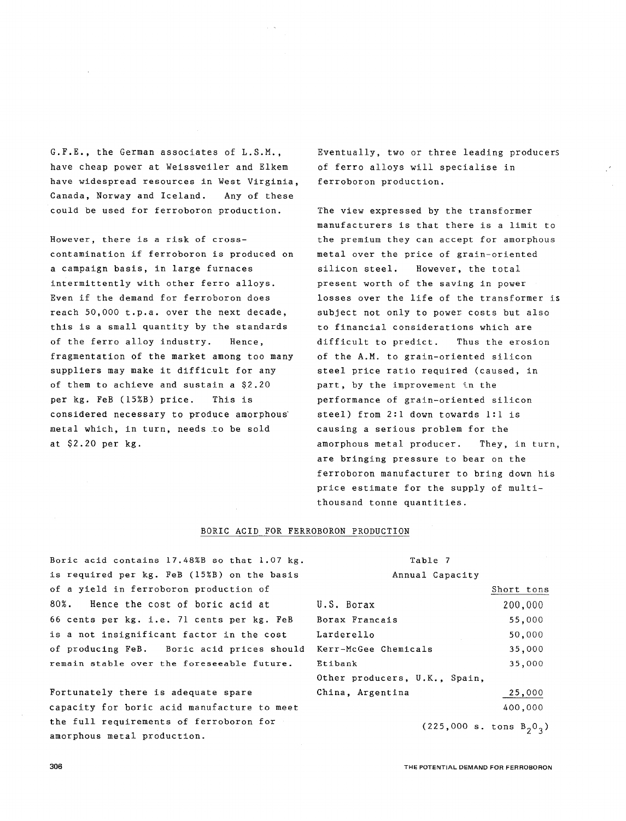G.F.E., the German associates of L.S.M., have cheap power at Weissweiler and Elkem have widespread resources in West Virginia, Canada, Norway and Iceland. Any of these could be used for ferroboron production.

However, there is a risk of crosscontamination if ferroboron is produced on a campaign basis, in large furnaces intermittently with other ferro alloys. Even if the demand for ferroboron does reach 50,000 t.p.a. over the next decade, this is a small quantity by the standards of the ferro alloy industry. Hence, fragmentation of the market among too many suppliers may make it difficult for any of them to achieve and sustain a \$2.20 per kg. FeB (15%B) price. This is considered necessary to produce amorphous' metal which, in turn, needs to be sold at \$2.20 per kg.

Eventually, two or three leading producers of ferro alloys will specialise in ferroboron production.

The view expressed by the transformer manufacturers is that there is a limit to the premium they can accept for amorphous metal over the price of grain-oriented silicon steel. However, the total present worth of the saving in power losses over the life of the transformer is subject not only to power costs but also to financial considerations which are difficult to predict. Thus the erosion of the A.M. to grain-oriented silicon steel price ratio required (caused, in part, by the improvement in the performance of grain-oriented silicon steel) from 2:1 down towards 1:1 is causing a serious problem for the amorphous metal producer. They, in turn, are bringing pressure to bear on the ferroboron manufacturer to bring down his price estimate for the supply of multithousand tonne quantities.

#### BORIC ACID FOR FERROBORON PRODUCTION

Boric acid contains 17.48%B so that 1.07 kg. is required per kg. FeB (15%B) on the basis of a yield in ferroboron production of 80%. Hence the cost of boric acid at 66 cents per kg. i.e. 71 cents per kg. FeB is a not insignificant factor in the cost Larderello of producing FeB. Boric acid prices should Kerr-McGee Chemicals remain stable over the foreseeable future. Etibank

Fortunately there is adequate spare capacity for boric acid manufacture to meet the full requirements of ferroboron for amorphous metal production.

## Table 7 Annual Capacity U.S. Borax Borax Francais Other producers, U.K., Spain, China, Argentina Short tons 200,000 55,000 50,000 35,000 35,000 25,000 400,000

 $(225,000 \text{ s. tons } B_20_3)$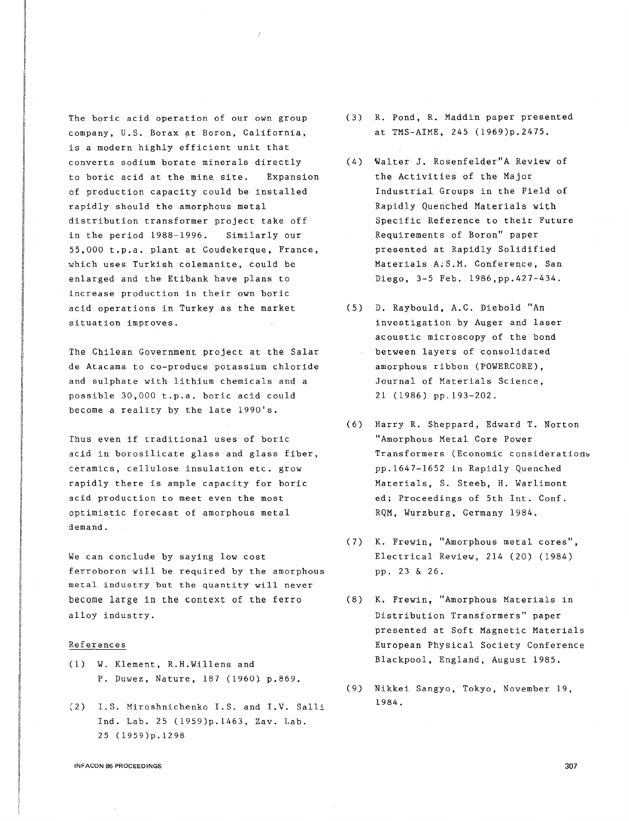The boric acid operation of our own group company, U.S. Borax at Boron, California, is a modern highly efficient unit that converts sodium borate minerals directly to boric acid at the mine site. Expansion of production capacity could be installed rapidly should the amorphous metal distribution transformer project take off in the period 1988-1996. Similarly our 55,000 t.p.a. plant at Coudekerque, France, which uses Turkish colemanite, could be enlarged and the Etibank have plans to increase production in their own boric acid operations in Turkey as the market situation improves.

The Chilean Government project at the Salar de Atacama to co-produce potassium chloride and sulphate with lithium chemicals and a possible 30,000 t.p.a. boric acid could become a reality by the late 1990's.

Thus even if traditional uses of boric "Amorphous Metal Core Power acid in borosilicate glass and glass fiber, ceramics, cellulose insulation etc. grow rapidly there is ample capacity for boric acid production to meet even the most optimistic forecast of amorphous metal demand.

We can conclude by saying low cost ferroboron will be required by the amorphous metal industry but the quantity will never become large in the context of the ferro alloy industry.

#### References

- (1) W. Klement, R.H.Willens and P. Duwez, Nature, 187 (1960} p.869.
- (2) I.S. Miroshnichenko I.S. and I.V. Salli Ind. Lab. 25 (1959)p.1463, Zav. Lab. 25 (1959)p.1298
- (3) R. Pond, R. Maddin paper presented at TMS-AIME, 245 (1969)p.2475.
- (4) 'Walter J. Rosenfelder"A Review of the Activities of the Major Industrial Groups in the Field of Rapidly Quenched Materials with Specific Reference to their Future Requirements of Boron" paper presented at Rapidly Solidified Materials A;S.M. Conference, San Diego, 3-5 Feb. 1986,pp.427-434.
- (5) D. Raybould, A.C. Diebold "An investigation by Auger and laser acoustic microscopy of the bond between layers of consolidated amorphous ribbon (POWERCORE), Journal of Materials Science, 21 (1986) pp.193-202.
- (6) Harry R. Sheppard, Edward T. Norton Transformers (Economic considerations pp.1647-1652 in Rapidly Quenched Materials, S. Steeb, H. Warlimont ed; Proceedings of 5th Int. Conf. RQM, Wurzburg, Germany 1984.
- (7) K. Frewin, "Amorphous metal cores", Electrical Review, 214 (20) (1984) pp. 23 & 26.
- (8) K. Frewin, "Amorphous Materials in Distribution Transformers" paper presented at Soft Magnetic Materials European Physical Society Conference Blackpool, England, August 1985.
- (9) Nikkei Sangyo, Tokyo, November 19, 1984.